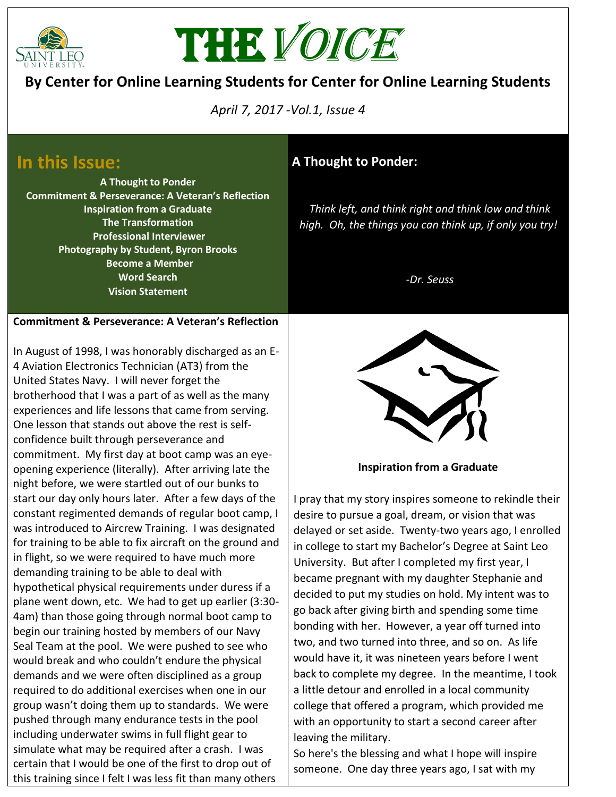



## **By Center for Online Learning Students for Center for Online Learning Students**

*April 7, 2017 -Vol.1, Issue 4*

# **In this Issue:**

**A Thought to Ponder Commitment & Perseverance: A Veteran's Reflection Inspiration from a Graduate The Transformation Professional Interviewer Photography by Student, Byron Brooks Become a Member Word Search Vision Statement**

### **Commitment & Perseverance: A Veteran's Reflection**

In August of 1998, I was honorably discharged as an E-4 Aviation Electronics Technician (AT3) from the United States Navy. I will never forget the brotherhood that I was a part of as well as the many experiences and life lessons that came from serving. One lesson that stands out above the rest is selfconfidence built through perseverance and commitment. My first day at boot camp was an eyeopening experience (literally). After arriving late the night before, we were startled out of our bunks to start our day only hours later. After a few days of the constant regimented demands of regular boot camp, I was introduced to Aircrew Training. I was designated for training to be able to fix aircraft on the ground and in flight, so we were required to have much more demanding training to be able to deal with hypothetical physical requirements under duress if a plane went down, etc. We had to get up earlier (3:30- 4am) than those going through normal boot camp to begin our training hosted by members of our Navy Seal Team at the pool. We were pushed to see who would break and who couldn't endure the physical demands and we were often disciplined as a group required to do additional exercises when one in our group wasn't doing them up to standards. We were pushed through many endurance tests in the pool including underwater swims in full flight gear to simulate what may be required after a crash. I was certain that I would be one of the first to drop out of this training since I felt I was less fit than many others

## **A Thought to Ponder:**

*Think left, and think right and think low and think high. Oh, the things you can think up, if only you try!*

*-Dr. Seuss*



**Inspiration from a Graduate**

I pray that my story inspires someone to rekindle their desire to pursue a goal, dream, or vision that was delayed or set aside. Twenty-two years ago, I enrolled in college to start my Bachelor's Degree at Saint Leo University. But after I completed my first year, I became pregnant with my daughter Stephanie and decided to put my studies on hold. My intent was to go back after giving birth and spending some time bonding with her. However, a year off turned into two, and two turned into three, and so on. As life would have it, it was nineteen years before I went back to complete my degree. In the meantime, I took a little detour and enrolled in a local community college that offered a program, which provided me with an opportunity to start a second career after leaving the military.

So here's the blessing and what I hope will inspire someone. One day three years ago, I sat with my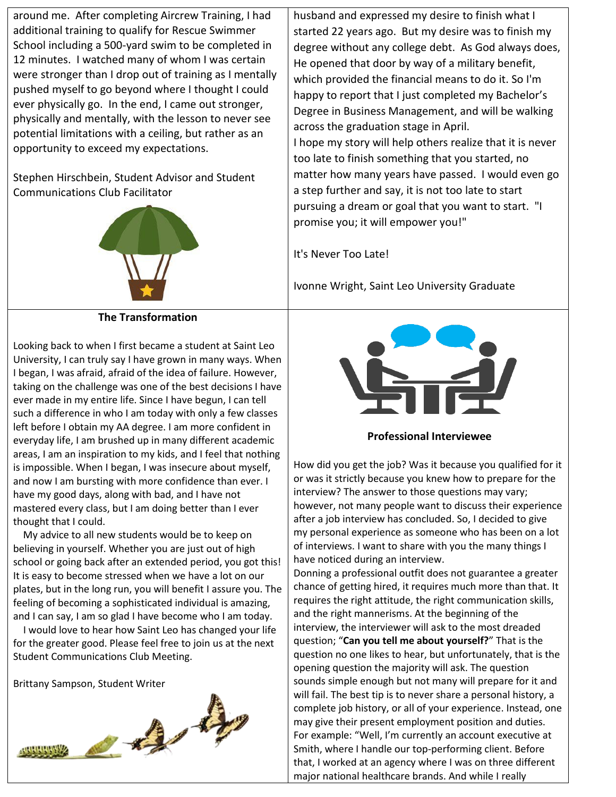around me. After completing Aircrew Training, I had additional training to qualify for Rescue Swimmer School including a 500-yard swim to be completed in 12 minutes. I watched many of whom I was certain were stronger than I drop out of training as I mentally pushed myself to go beyond where I thought I could ever physically go. In the end, I came out stronger, physically and mentally, with the lesson to never see potential limitations with a ceiling, but rather as an opportunity to exceed my expectations.

Stephen Hirschbein, Student Advisor and Student Communications Club Facilitator



### **The Transformation**

Looking back to when I first became a student at Saint Leo University, I can truly say I have grown in many ways. When I began, I was afraid, afraid of the idea of failure. However, taking on the challenge was one of the best decisions I have ever made in my entire life. Since I have begun, I can tell such a difference in who I am today with only a few classes left before I obtain my AA degree. I am more confident in everyday life, I am brushed up in many different academic areas, I am an inspiration to my kids, and I feel that nothing is impossible. When I began, I was insecure about myself, and now I am bursting with more confidence than ever. I have my good days, along with bad, and I have not mastered every class, but I am doing better than I ever thought that I could.

 My advice to all new students would be to keep on believing in yourself. Whether you are just out of high school or going back after an extended period, you got this! It is easy to become stressed when we have a lot on our plates, but in the long run, you will benefit I assure you. The feeling of becoming a sophisticated individual is amazing, and I can say, I am so glad I have become who I am today.

 I would love to hear how Saint Leo has changed your life for the greater good. Please feel free to join us at the next Student Communications Club Meeting.

Brittany Sampson, Student Writer



husband and expressed my desire to finish what I started 22 years ago. But my desire was to finish my degree without any college debt. As God always does, He opened that door by way of a military benefit, which provided the financial means to do it. So I'm happy to report that I just completed my Bachelor's Degree in Business Management, and will be walking across the graduation stage in April. I hope my story will help others realize that it is never too late to finish something that you started, no matter how many years have passed. I would even go a step further and say, it is not too late to start pursuing a dream or goal that you want to start. "I promise you; it will empower you!"

It's Never Too Late!

Ivonne Wright, Saint Leo University Graduate



**Professional Interviewee**

How did you get the job? Was it because you qualified for it or was it strictly because you knew how to prepare for the interview? The answer to those questions may vary; however, not many people want to discuss their experience after a job interview has concluded. So, I decided to give my personal experience as someone who has been on a lot of interviews. I want to share with you the many things I have noticed during an interview.

Donning a professional outfit does not guarantee a greater chance of getting hired, it requires much more than that. It requires the right attitude, the right communication skills, and the right mannerisms. At the beginning of the interview, the interviewer will ask to the most dreaded question; "**Can you tell me about yourself?**" That is the question no one likes to hear, but unfortunately, that is the opening question the majority will ask. The question sounds simple enough but not many will prepare for it and will fail. The best tip is to never share a personal history, a complete job history, or all of your experience. Instead, one may give their present employment position and duties. For example: "Well, I'm currently an account executive at Smith, where I handle our top-performing client. Before that, I worked at an agency where I was on three different major national healthcare brands. And while I really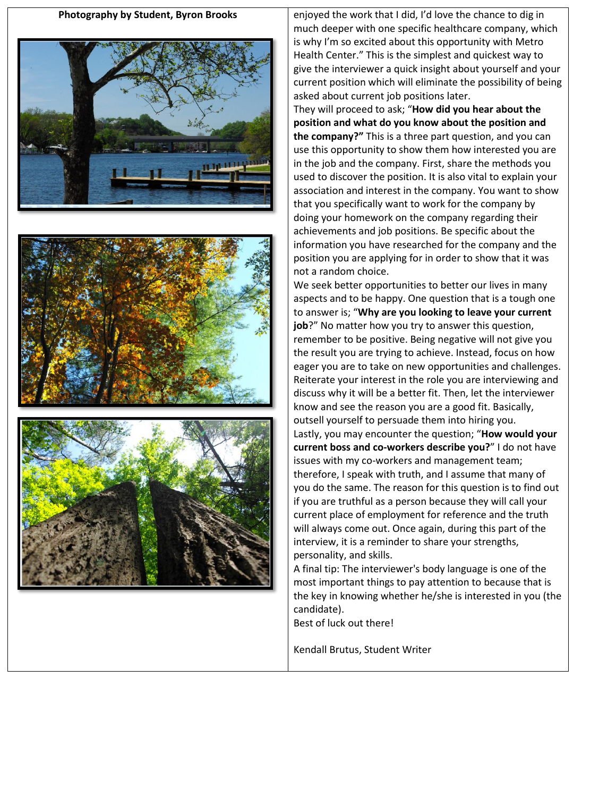





**Photography by Student, Byron Brooks** enjoyed the work that I did, I'd love the chance to dig in much deeper with one specific healthcare company, which is why I'm so excited about this opportunity with Metro Health Center." This is the simplest and quickest way to give the interviewer a quick insight about yourself and your current position which will eliminate the possibility of being asked about current job positions later.

> They will proceed to ask; "**How did you hear about the position and what do you know about the position and the company?"** This is a three part question, and you can use this opportunity to show them how interested you are in the job and the company. First, share the methods you used to discover the position. It is also vital to explain your association and interest in the company. You want to show that you specifically want to work for the company by doing your homework on the company regarding their achievements and job positions. Be specific about the information you have researched for the company and the position you are applying for in order to show that it was not a random choice.

> We seek better opportunities to better our lives in many aspects and to be happy. One question that is a tough one to answer is; "**Why are you looking to leave your current job**?" No matter how you try to answer this question, remember to be positive. Being negative will not give you the result you are trying to achieve. Instead, focus on how eager you are to take on new opportunities and challenges. Reiterate your interest in the role you are interviewing and discuss why it will be a better fit. Then, let the interviewer know and see the reason you are a good fit. Basically, outsell yourself to persuade them into hiring you. Lastly, you may encounter the question; "**How would your current boss and co-workers describe you?**" I do not have issues with my co-workers and management team; therefore, I speak with truth, and I assume that many of you do the same. The reason for this question is to find out if you are truthful as a person because they will call your current place of employment for reference and the truth will always come out. Once again, during this part of the interview, it is a reminder to share your strengths, personality, and skills.

> A final tip: The interviewer's body language is one of the most important things to pay attention to because that is the key in knowing whether he/she is interested in you (the candidate).

Best of luck out there!

Kendall Brutus, Student Writer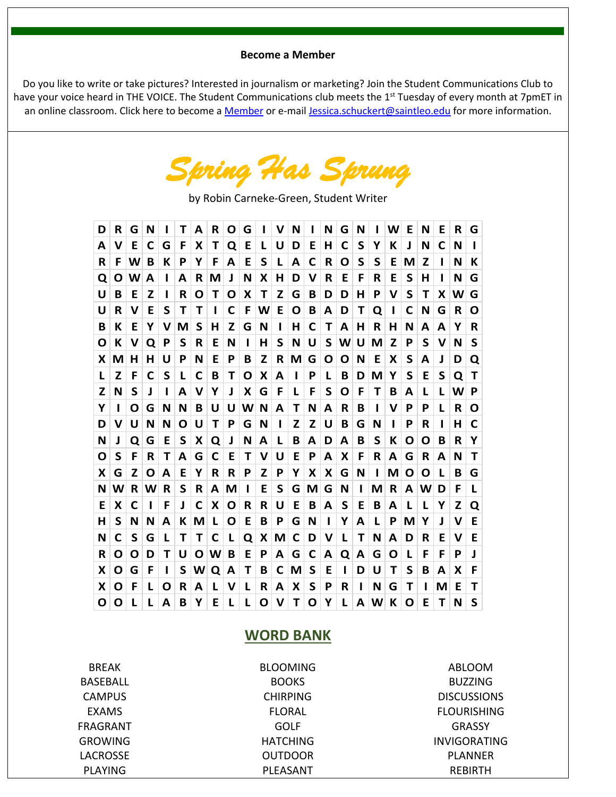#### **Become a Member**

Do you like to write or take pictures? Interested in journalism or marketing? Join the Student Communications Club to have your voice heard in THE VOICE. The Student Communications club meets the 1<sup>st</sup> Tuesday of every month at 7pmET in an online classroom. Click here to become a [Member](http://www.saintleo.edu/resources/for-online-students/academic-services/advising/online-club-membership-application.aspx) or e-mail [Jessica.schuckert@saintleo.edu](mailto:Jessica.schuckert@saintleo.edu) for more information.

*Spring Has Sprung*

by Robin Carneke-Green, Student Writer

| D | R | G | N  |   | т | А | R | O | G |   | v | N |   | N | G | N | ı | W | Е | N  | Е  | R | G |
|---|---|---|----|---|---|---|---|---|---|---|---|---|---|---|---|---|---|---|---|----|----|---|---|
| A | v | Е | C  | G | F | х | т | Q | E | L | U | D | Ε | н | С | S | Y | К | J | N  | C  | N | н |
| R | F | W | в  | К | P | Υ | F | А | E | S | L | А | C | R | O | S | S | E | М | z  |    | N | К |
| Q | O | W | А  | н | A | R | М | J | N | х | н | D | v | R | Е | F | R | E | S | н  |    | N | G |
| U | в | Е | z  | н | R | O | т | O | X | т | Z | G | В | D | D | н | P | v | S | т  | X  | W | G |
| U | R | v | Е  | S | т | т | ı | C | F | W | E | O | В | A | D | т | Q | L | С | N  | G  | R | O |
| в | К | Е | Y  | v | М | S | н | Z | G | N |   | н | C | т | А | н | R | н | N | А  | A  | Y | R |
| O | К | v | Q  | P | S | R | E | N | ı | н | S | N | U | S | W | U | М | Z | P | S  | v  | N | S |
| x | М | н | н  | U | Ρ | N | E | P | В | z | R | M | G | O | O | N | E | x | S | А  | J  | D | Q |
| L | z | F | С  | S | L | C | в | Τ | O | х | A | н | P | L | в | D | M | Υ | S | Е  | S  | Q | Τ |
| Z | N | S | J. | п | A | v | Y | J | X | G | F | L | F | S | O | F | Т | В | А | L  | L  | W | P |
| Υ | н | O | G  | N | N | в | U | U | W | N | А | т | N | A | R | B | ı | v | P | Р  | L  | R | O |
| D | v | U | N  | N | O | U | т | P | G | N |   | Z | Z | U | в | G | N | ı | Р | R  |    | н | C |
| N | J | O | G  | Е | S | х | Q | J | N | A | L | В | A | D | А | B | S | К | Ο | O  | в  | R | Y |
| O | S | F | R  | т | А | G | C | Е | т | v | U | Е | P | A | x | F | R | A | G | R  | A  | N | т |
| X | G | z | O  | A | Е | Υ | R | R | P | Z | P | Υ | X | х | G | N | н | М | O | O  | L  | в | G |
| N | W | R | W  | R | S | R | А | М | ı | E | S | G | М | G | N | ı | М | R | А | W  | D  | F | L |
| Ε | x | C | п  | F | J | C | X | O | R | R | U | E | B | А | S | Ε | B | A | L | L  | Υ  | Z | Q |
| н | S | N | Ν  | A | к | М | L | Ο | E | Β | P | G | N | L | Υ | А | L | P | М | Υ  | J. | v | Ε |
| N | C | S | G  | L | т | т | C | L | Q | х | М | C | D | v | L | Т | N | A | D | R  | E  | v | E |
| R | O | O | D  | т | U | O | W | в | E | P | A | G | С | A | Q | А | G | O | L | F  | F  | P | J |
| x | Ο | G | F  | п | S | W | Q | А | т | в | C | М | S | E | п | D | U | т | S | В  | A  | х | F |
| X | Ο | F | L  | O | R | А | L | v | L | R | A | X | S | P | R | ı | N | G | Т |    | М  | Ε | Т |
| Ο | O | L | L  | А | в | Y | E | L | L | Ο | V | т | Ο | Y | L | А | W | К | Ο | E. | Т  | N | S |

#### **WORD BANK**

BREAK BASEBALL **CAMPUS** EXAMS FRAGRANT GROWING LACROSSE PLAYING

BLOOMING **BOOKS** CHIRPING FLORAL GOLF HATCHING OUTDOOR PLEASANT

ABLOOM BUZZING DISCUSSIONS FLOURISHING **GRASSY** INVIGORATING PLANNER REBIRTH